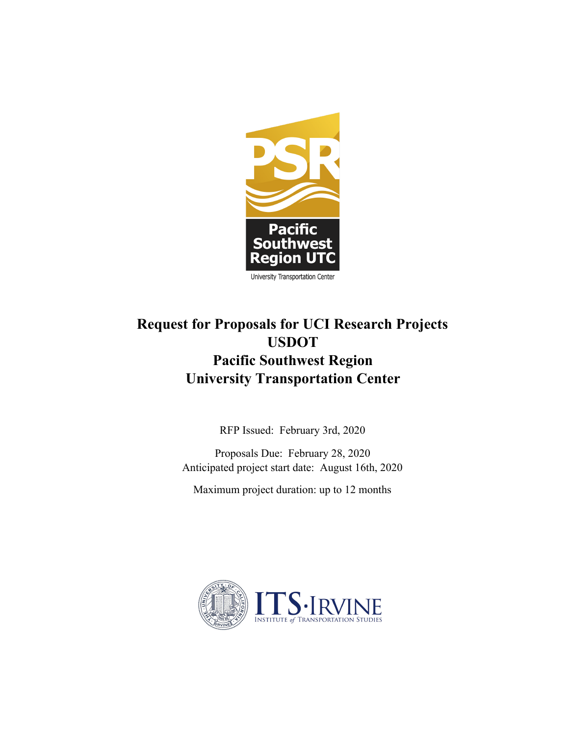

# **Request for Proposals for UCI Research Projects USDOT Pacific Southwest Region University Transportation Center**

RFP Issued: February 3rd, 2020

Proposals Due: February 28, 2020 Anticipated project start date: August 16th, 2020

Maximum project duration: up to 12 months

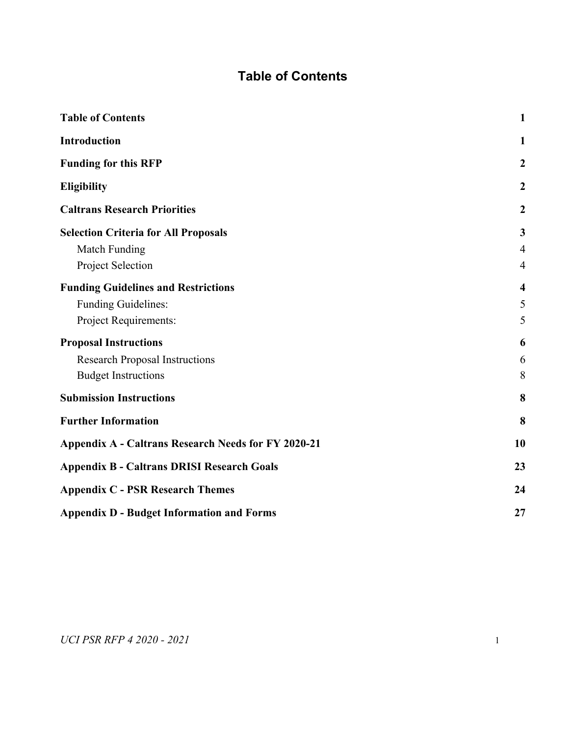# **Table of Contents**

<span id="page-1-1"></span><span id="page-1-0"></span>

| <b>Table of Contents</b>                                   | $\mathbf{1}$     |
|------------------------------------------------------------|------------------|
| Introduction                                               | 1                |
| <b>Funding for this RFP</b>                                | $\boldsymbol{2}$ |
| <b>Eligibility</b>                                         | $\boldsymbol{2}$ |
| <b>Caltrans Research Priorities</b>                        | $\boldsymbol{2}$ |
| <b>Selection Criteria for All Proposals</b>                | 3                |
| <b>Match Funding</b>                                       | $\overline{4}$   |
| Project Selection                                          | $\overline{4}$   |
| <b>Funding Guidelines and Restrictions</b>                 | 4                |
| Funding Guidelines:                                        | 5                |
| Project Requirements:                                      | 5                |
| <b>Proposal Instructions</b>                               | 6                |
| <b>Research Proposal Instructions</b>                      | 6                |
| <b>Budget Instructions</b>                                 | 8                |
| <b>Submission Instructions</b>                             | 8                |
| <b>Further Information</b>                                 | 8                |
| <b>Appendix A - Caltrans Research Needs for FY 2020-21</b> | 10               |
| <b>Appendix B - Caltrans DRISI Research Goals</b>          | 23               |
| <b>Appendix C - PSR Research Themes</b>                    |                  |
| <b>Appendix D - Budget Information and Forms</b>           | 27               |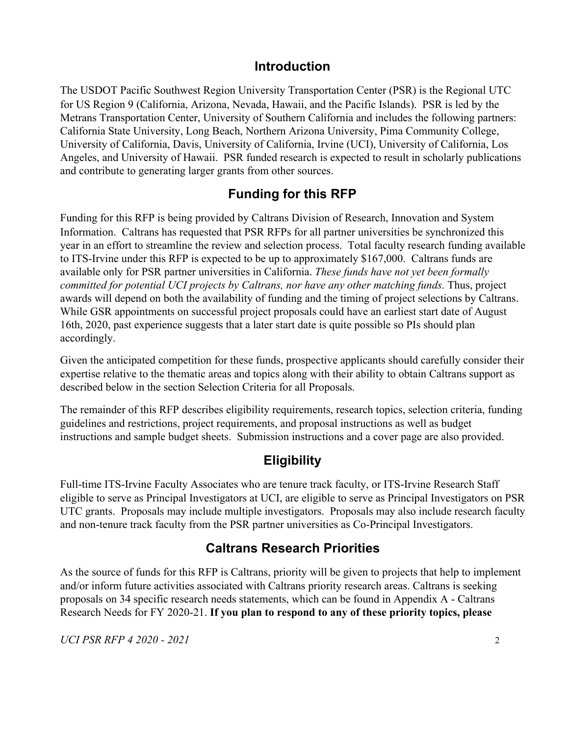### **Introduction**

The USDOT Pacific Southwest Region University Transportation Center (PSR) is the Regional UTC for US Region 9 (California, Arizona, Nevada, Hawaii, and the Pacific Islands). PSR is led by the Metrans Transportation Center, University of Southern California and includes the following partners: California State University, Long Beach, Northern Arizona University, Pima Community College, University of California, Davis, University of California, Irvine (UCI), University of California, Los Angeles, and University of Hawaii. PSR funded research is expected to result in scholarly publications and contribute to generating larger grants from other sources.

### **Funding for this RFP**

<span id="page-2-0"></span>Funding for this RFP is being provided by Caltrans Division of Research, Innovation and System Information. Caltrans has requested that PSR RFPs for all partner universities be synchronized this year in an effort to streamline the review and selection process. Total faculty research funding available to ITS-Irvine under this RFP is expected to be up to approximately \$167,000. Caltrans funds are available only for PSR partner universities in California. *These funds have not yet been formally committed for potential UCI projects by Caltrans, nor have any other matching funds.* Thus, project awards will depend on both the availability of funding and the timing of project selections by Caltrans. While GSR appointments on successful project proposals could have an earliest start date of August 16th, 2020, past experience suggests that a later start date is quite possible so PIs should plan accordingly.

Given the anticipated competition for these funds, prospective applicants should carefully consider their expertise relative to the thematic areas and topics along with their ability to obtain Caltrans support as described below in the section Selection Criteria for all Proposals.

The remainder of this RFP describes eligibility requirements, research topics, selection criteria, funding guidelines and restrictions, project requirements, and proposal instructions as well as budget instructions and sample budget sheets. Submission instructions and a cover page are also provided.

### **Eligibility**

<span id="page-2-1"></span>Full-time ITS-Irvine Faculty Associates who are tenure track faculty, or ITS-Irvine Research Staff eligible to serve as Principal Investigators at UCI, are eligible to serve as Principal Investigators on PSR UTC grants. Proposals may include multiple investigators. Proposals may also include research faculty and non-tenure track faculty from the PSR partner universities as Co-Principal Investigators.

## **Caltrans Research Priorities**

<span id="page-2-2"></span>As the source of funds for this RFP is Caltrans, priority will be given to projects that help to implement and/or inform future activities associated with Caltrans priority research areas. Caltrans is seeking proposals on 34 specific research needs statements, which can be found in Appendix A - Caltrans Research Needs for FY 2020-21. **If you plan to respond to any of these priority topics, please**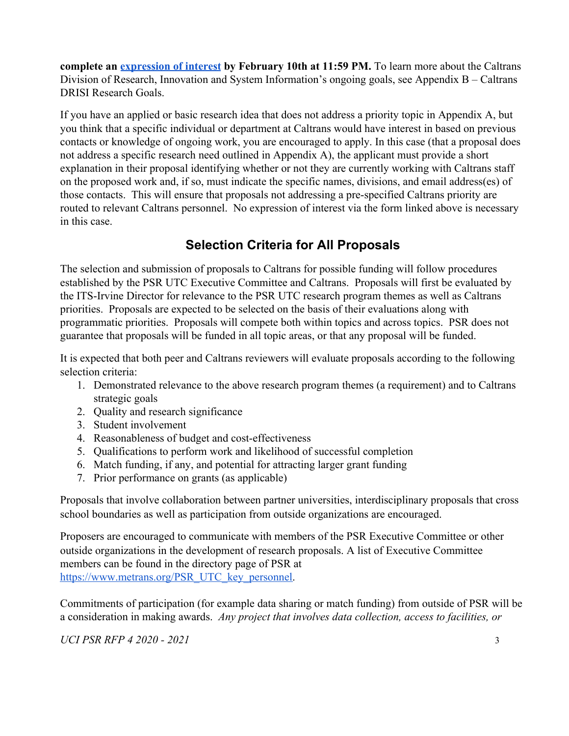**complete an [expression of interest](https://docs.google.com/forms/d/128fji3_PTKPFtN6bYwDbHyHUIZ7H-DppdNX27Gx8AXo/viewform?edit_requested=true) by February 10th at 11:59 PM.** To learn more about the Caltrans Division of Research, Innovation and System Information's ongoing goals, see Appendix B – Caltrans DRISI Research Goals.

If you have an applied or basic research idea that does not address a priority topic in Appendix A, but you think that a specific individual or department at Caltrans would have interest in based on previous contacts or knowledge of ongoing work, you are encouraged to apply. In this case (that a proposal does not address a specific research need outlined in Appendix A), the applicant must provide a short explanation in their proposal identifying whether or not they are currently working with Caltrans staff on the proposed work and, if so, must indicate the specific names, divisions, and email address(es) of those contacts. This will ensure that proposals not addressing a pre-specified Caltrans priority are routed to relevant Caltrans personnel. No expression of interest via the form linked above is necessary in this case.

## **Selection Criteria for All Proposals**

<span id="page-3-0"></span>The selection and submission of proposals to Caltrans for possible funding will follow procedures established by the PSR UTC Executive Committee and Caltrans. Proposals will first be evaluated by the ITS-Irvine Director for relevance to the PSR UTC research program themes as well as Caltrans priorities. Proposals are expected to be selected on the basis of their evaluations along with programmatic priorities. Proposals will compete both within topics and across topics. PSR does not guarantee that proposals will be funded in all topic areas, or that any proposal will be funded.

It is expected that both peer and Caltrans reviewers will evaluate proposals according to the following selection criteria:

- 1. Demonstrated relevance to the above research program themes (a requirement) and to Caltrans strategic goals
- 2. Quality and research significance
- 3. Student involvement
- 4. Reasonableness of budget and cost-effectiveness
- 5. Qualifications to perform work and likelihood of successful completion
- 6. Match funding, if any, and potential for attracting larger grant funding
- 7. Prior performance on grants (as applicable)

Proposals that involve collaboration between partner universities, interdisciplinary proposals that cross school boundaries as well as participation from outside organizations are encouraged.

Proposers are encouraged to communicate with members of the PSR Executive Committee or other outside organizations in the development of research proposals. A list of Executive Committee members can be found in the directory page of PSR at [https://www.metrans.org/PSR\\_UTC\\_key\\_personnel.](https://www.metrans.org/PSR_UTC_key_personnel)

Commitments of participation (for example data sharing or match funding) from outside of PSR will be a consideration in making awards. *Any project that involves data collection, access to facilities, or*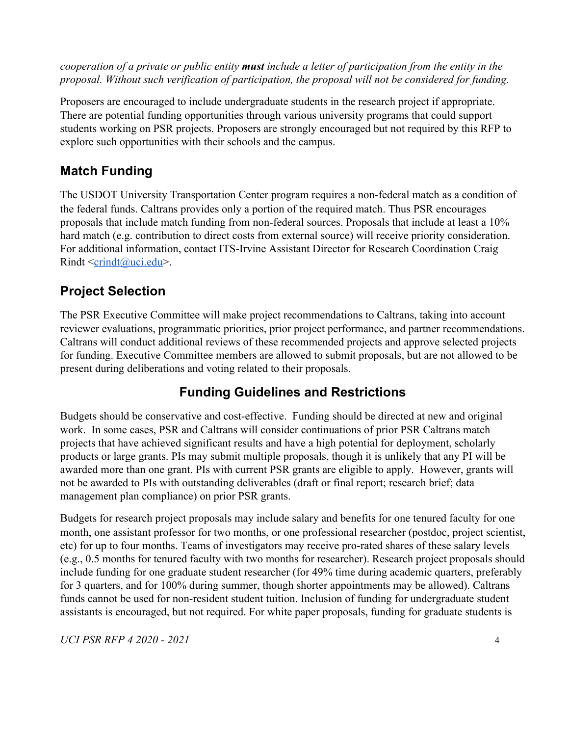*cooperation of a private or public entity must include a letter of participation from the entity in the proposal. Without such verification of participation, the proposal will not be considered for funding.*

Proposers are encouraged to include undergraduate students in the research project if appropriate. There are potential funding opportunities through various university programs that could support students working on PSR projects. Proposers are strongly encouraged but not required by this RFP to explore such opportunities with their schools and the campus.

## <span id="page-4-0"></span>**Match Funding**

The USDOT University Transportation Center program requires a non-federal match as a condition of the federal funds. Caltrans provides only a portion of the required match. Thus PSR encourages proposals that include match funding from non-federal sources. Proposals that include at least a 10% hard match (e.g. contribution to direct costs from external source) will receive priority consideration. For additional information, contact ITS-Irvine Assistant Director for Research Coordination Craig Rindt [<crindt@uci.edu>](mailto:crindt@uci.edu).

# <span id="page-4-1"></span>**Project Selection**

The PSR Executive Committee will make project recommendations to Caltrans, taking into account reviewer evaluations, programmatic priorities, prior project performance, and partner recommendations. Caltrans will conduct additional reviews of these recommended projects and approve selected projects for funding. Executive Committee members are allowed to submit proposals, but are not allowed to be present during deliberations and voting related to their proposals.

## **Funding Guidelines and Restrictions**

<span id="page-4-2"></span>Budgets should be conservative and cost-effective. Funding should be directed at new and original work. In some cases, PSR and Caltrans will consider continuations of prior PSR Caltrans match projects that have achieved significant results and have a high potential for deployment, scholarly products or large grants. PIs may submit multiple proposals, though it is unlikely that any PI will be awarded more than one grant. PIs with current PSR grants are eligible to apply. However, grants will not be awarded to PIs with outstanding deliverables (draft or final report; research brief; data management plan compliance) on prior PSR grants.

Budgets for research project proposals may include salary and benefits for one tenured faculty for one month, one assistant professor for two months, or one professional researcher (postdoc, project scientist, etc) for up to four months. Teams of investigators may receive pro-rated shares of these salary levels (e.g., 0.5 months for tenured faculty with two months for researcher). Research project proposals should include funding for one graduate student researcher (for 49% time during academic quarters, preferably for 3 quarters, and for 100% during summer, though shorter appointments may be allowed). Caltrans funds cannot be used for non-resident student tuition. Inclusion of funding for undergraduate student assistants is encouraged, but not required. For white paper proposals, funding for graduate students is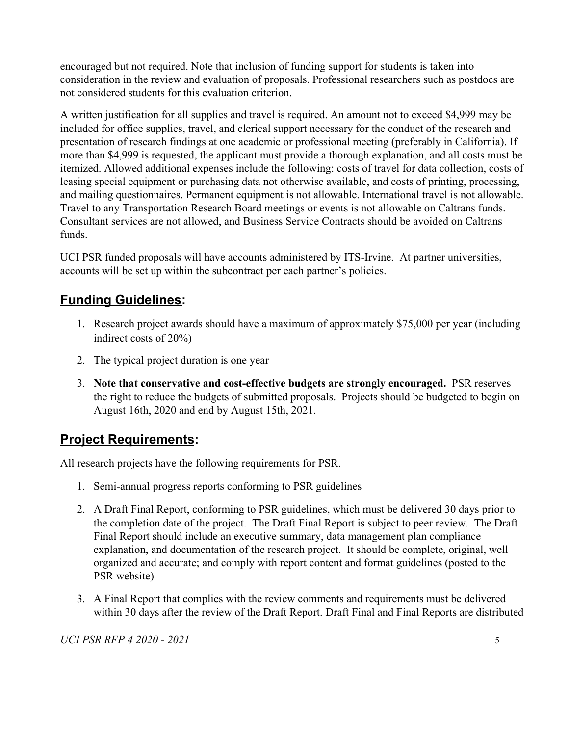encouraged but not required. Note that inclusion of funding support for students is taken into consideration in the review and evaluation of proposals. Professional researchers such as postdocs are not considered students for this evaluation criterion.

A written justification for all supplies and travel is required. An amount not to exceed \$4,999 may be included for office supplies, travel, and clerical support necessary for the conduct of the research and presentation of research findings at one academic or professional meeting (preferably in California). If more than \$4,999 is requested, the applicant must provide a thorough explanation, and all costs must be itemized. Allowed additional expenses include the following: costs of travel for data collection, costs of leasing special equipment or purchasing data not otherwise available, and costs of printing, processing, and mailing questionnaires. Permanent equipment is not allowable. International travel is not allowable. Travel to any Transportation Research Board meetings or events is not allowable on Caltrans funds. Consultant services are not allowed, and Business Service Contracts should be avoided on Caltrans funds.

UCI PSR funded proposals will have accounts administered by ITS-Irvine. At partner universities, accounts will be set up within the subcontract per each partner's policies.

## <span id="page-5-0"></span>**Funding Guidelines:**

- 1. Research project awards should have a maximum of approximately \$75,000 per year (including indirect costs of 20%)
- 2. The typical project duration is one year
- 3. **Note that conservative and cost-effective budgets are strongly encouraged.** PSR reserves the right to reduce the budgets of submitted proposals. Projects should be budgeted to begin on August 16th, 2020 and end by August 15th, 2021.

### <span id="page-5-1"></span>**Project Requirements:**

All research projects have the following requirements for PSR.

- 1. Semi-annual progress reports conforming to PSR guidelines
- 2. A Draft Final Report, conforming to PSR guidelines, which must be delivered 30 days prior to the completion date of the project. The Draft Final Report is subject to peer review. The Draft Final Report should include an executive summary, data management plan compliance explanation, and documentation of the research project. It should be complete, original, well organized and accurate; and comply with report content and format guidelines (posted to the PSR website)
- 3. A Final Report that complies with the review comments and requirements must be delivered within 30 days after the review of the Draft Report. Draft Final and Final Reports are distributed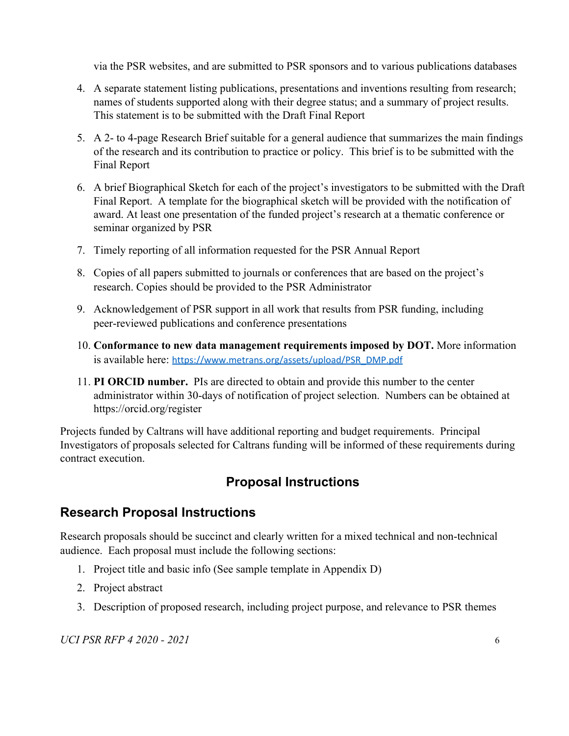via the PSR websites, and are submitted to PSR sponsors and to various publications databases

- 4. A separate statement listing publications, presentations and inventions resulting from research; names of students supported along with their degree status; and a summary of project results. This statement is to be submitted with the Draft Final Report
- 5. A 2- to 4-page Research Brief suitable for a general audience that summarizes the main findings of the research and its contribution to practice or policy. This brief is to be submitted with the Final Report
- 6. A brief Biographical Sketch for each of the project's investigators to be submitted with the Draft Final Report. A template for the biographical sketch will be provided with the notification of award. At least one presentation of the funded project's research at a thematic conference or seminar organized by PSR
- 7. Timely reporting of all information requested for the PSR Annual Report
- 8. Copies of all papers submitted to journals or conferences that are based on the project's research. Copies should be provided to the PSR Administrator
- 9. Acknowledgement of PSR support in all work that results from PSR funding, including peer-reviewed publications and conference presentations
- 10. **Conformance to new data management requirements imposed by DOT.** More information is available here: [https://www.metrans.org/assets/upload/PSR\\_DMP.pdf](https://www.metrans.org/assets/upload/PSR_DMP.pdf)
- 11. **PI ORCID number.** PIs are directed to obtain and provide this number to the center administrator within 30-days of notification of project selection. Numbers can be obtained at https://orcid.org/register

<span id="page-6-0"></span>Projects funded by Caltrans will have additional reporting and budget requirements. Principal Investigators of proposals selected for Caltrans funding will be informed of these requirements during contract execution.

## **Proposal Instructions**

## <span id="page-6-1"></span>**Research Proposal Instructions**

Research proposals should be succinct and clearly written for a mixed technical and non-technical audience. Each proposal must include the following sections:

- 1. Project title and basic info (See sample template in Appendix D)
- 2. Project abstract
- 3. Description of proposed research, including project purpose, and relevance to PSR themes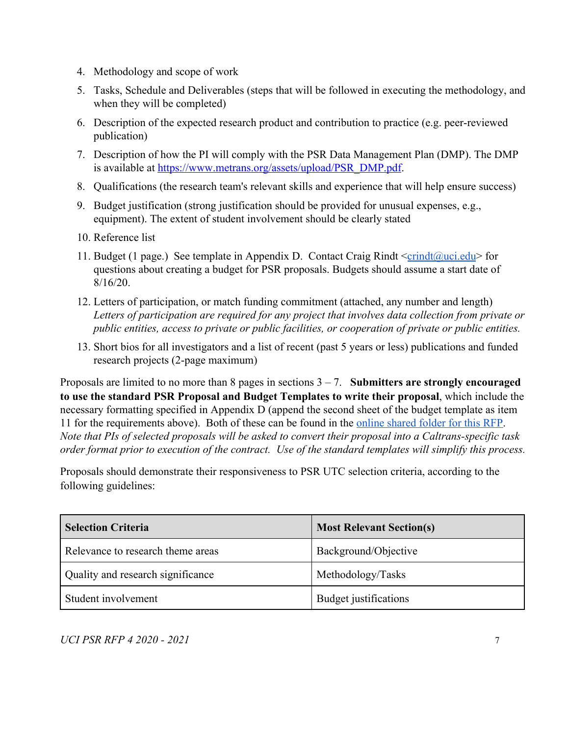- 4. Methodology and scope of work
- 5. Tasks, Schedule and Deliverables (steps that will be followed in executing the methodology, and when they will be completed)
- 6. Description of the expected research product and contribution to practice (e.g. peer-reviewed publication)
- 7. Description of how the PI will comply with the PSR Data Management Plan (DMP). The DMP is available at [https://www.metrans.org/assets/upload/PSR\\_DMP.pdf](https://www.metrans.org/assets/upload/PSR_DMP.pdf).
- 8. Qualifications (the research team's relevant skills and experience that will help ensure success)
- 9. Budget justification (strong justification should be provided for unusual expenses, e.g., equipment). The extent of student involvement should be clearly stated
- 10. Reference list
- 11. Budget (1 page.) See template in Appendix D. Contact Craig Rindt  $\langle$ crindt $(\partial \mu c)$  for questions about creating a budget for PSR proposals. Budgets should assume a start date of 8/16/20.
- 12. Letters of participation, or match funding commitment (attached, any number and length) *Letters of participation are required for any project that involves data collection from private or public entities, access to private or public facilities, or cooperation of private or public entities.*
- 13. Short bios for all investigators and a list of recent (past 5 years or less) publications and funded research projects (2-page maximum)

Proposals are limited to no more than 8 pages in sections 3 – 7. **Submitters are strongly encouraged to use the standard PSR Proposal and Budget Templates to write their proposal**, which include the necessary formatting specified in Appendix D (append the second sheet of the budget template as item 11 for the requirements above). Both of these can be found in the [online shared folder for this RFP.](https://drive.google.com/drive/u/1/folders/11cGKMDN2cQRFbETWpxtgEiJ0Zy867Sve) *Note that PIs of selected proposals will be asked to convert their proposal into a Caltrans-specific task order format prior to execution of the contract. Use of the standard templates will simplify this process.*

Proposals should demonstrate their responsiveness to PSR UTC selection criteria, according to the following guidelines:

| <b>Selection Criteria</b>         | <b>Most Relevant Section(s)</b> |
|-----------------------------------|---------------------------------|
| Relevance to research theme areas | Background/Objective            |
| Quality and research significance | Methodology/Tasks               |
| Student involvement               | Budget justifications           |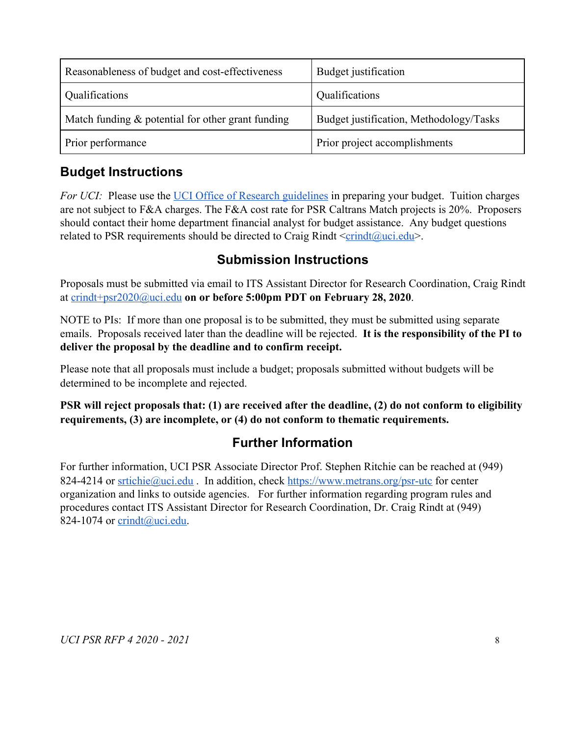| Reasonableness of budget and cost-effectiveness      | Budget justification                    |
|------------------------------------------------------|-----------------------------------------|
| Qualifications                                       | Qualifications                          |
| Match funding $\&$ potential for other grant funding | Budget justification, Methodology/Tasks |
| Prior performance                                    | Prior project accomplishments           |

## <span id="page-8-0"></span>**Budget Instructions**

*For UCI:* Please use the [UCI Office of Research guidelines](http://www.research.uci.edu/sponsored-projects/contracts-grants-admin/proposal-prep/budget-general-info.html) in preparing your budget. Tuition charges are not subject to F&A charges. The F&A cost rate for PSR Caltrans Match projects is 20%. Proposers should contact their home department financial analyst for budget assistance. Any budget questions related to PSR requirements should be directed to Craig Rindt  $\leq$ [crindt@uci.edu](mailto:crindt@uci.edu)>.

### **Submission Instructions**

<span id="page-8-1"></span>Proposals must be submitted via email to ITS Assistant Director for Research Coordination, Craig Rindt at [crindt+psr2020@uci.edu](mailto:crindt@uci.edu) **on or before 5:00pm PDT on February 28, 2020**.

NOTE to PIs: If more than one proposal is to be submitted, they must be submitted using separate emails. Proposals received later than the deadline will be rejected. **It is the responsibility of the PI to deliver the proposal by the deadline and to confirm receipt.**

Please note that all proposals must include a budget; proposals submitted without budgets will be determined to be incomplete and rejected.

<span id="page-8-2"></span>**PSR will reject proposals that: (1) are received after the deadline, (2) do not conform to eligibility requirements, (3) are incomplete, or (4) do not conform to thematic requirements.**

## **Further Information**

For further information, UCI PSR Associate Director Prof. Stephen Ritchie can be reached at (949) 824-4214 or [srtichie@uci.edu](mailto:srtichie@uci.edu). In addition, check <https://www.metrans.org/psr-utc>for center organization and links to outside agencies. For further information regarding program rules and procedures contact ITS Assistant Director for Research Coordination, Dr. Craig Rindt at (949) 824-1074 or  $\text{crindt}(\partial_t)$ uci.edu.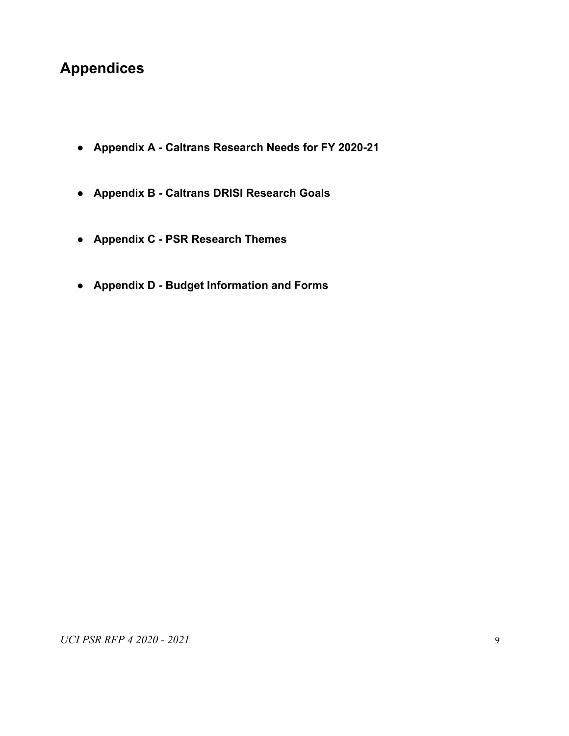# **Appendices**

- **● Appendix A Caltrans Research Needs for FY 2020-21**
- **● Appendix B Caltrans DRISI Research Goals**
- **● Appendix C PSR Research Themes**
- **● Appendix D Budget Information and Forms**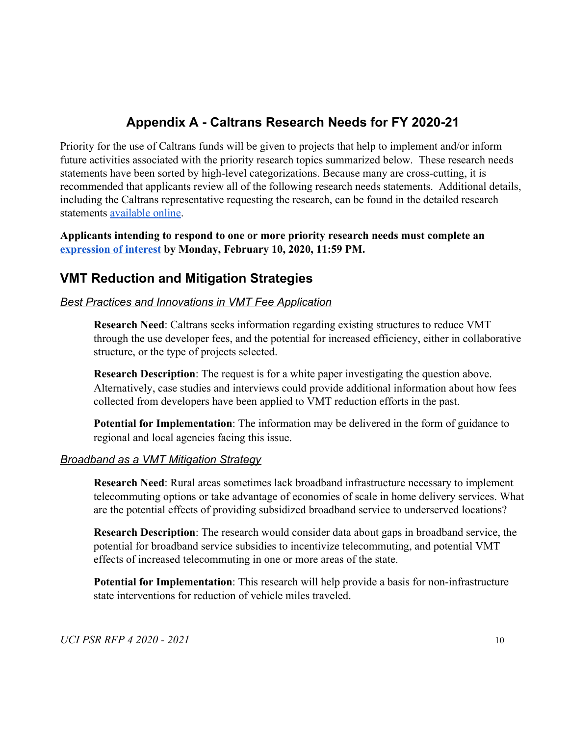## **Appendix A - Caltrans Research Needs for FY 2020-21**

<span id="page-10-0"></span>Priority for the use of Caltrans funds will be given to projects that help to implement and/or inform future activities associated with the priority research topics summarized below. These research needs statements have been sorted by high-level categorizations. Because many are cross-cutting, it is recommended that applicants review all of the following research needs statements. Additional details, including the Caltrans representative requesting the research, can be found in the detailed research statements [available online.](https://drive.google.com/drive/folders/1O2JF-1o97UnWKjg2JGS0wHEmBIY8Mzq-)

**Applicants intending to respond to one or more priority research needs must complete an [expression of interest](https://docs.google.com/forms/d/128fji3_PTKPFtN6bYwDbHyHUIZ7H-DppdNX27Gx8AXo/viewform) by Monday, February 10, 2020, 11:59 PM.**

### **VMT Reduction and Mitigation Strategies**

#### *Best Practices and Innovations in VMT Fee Application*

**Research Need**: Caltrans seeks information regarding existing structures to reduce VMT through the use developer fees, and the potential for increased efficiency, either in collaborative structure, or the type of projects selected.

**Research Description**: The request is for a white paper investigating the question above. Alternatively, case studies and interviews could provide additional information about how fees collected from developers have been applied to VMT reduction efforts in the past.

**Potential for Implementation**: The information may be delivered in the form of guidance to regional and local agencies facing this issue.

#### *Broadband as a VMT Mitigation Strategy*

**Research Need**: Rural areas sometimes lack broadband infrastructure necessary to implement telecommuting options or take advantage of economies of scale in home delivery services. What are the potential effects of providing subsidized broadband service to underserved locations?

**Research Description**: The research would consider data about gaps in broadband service, the potential for broadband service subsidies to incentivize telecommuting, and potential VMT effects of increased telecommuting in one or more areas of the state.

**Potential for Implementation**: This research will help provide a basis for non-infrastructure state interventions for reduction of vehicle miles traveled.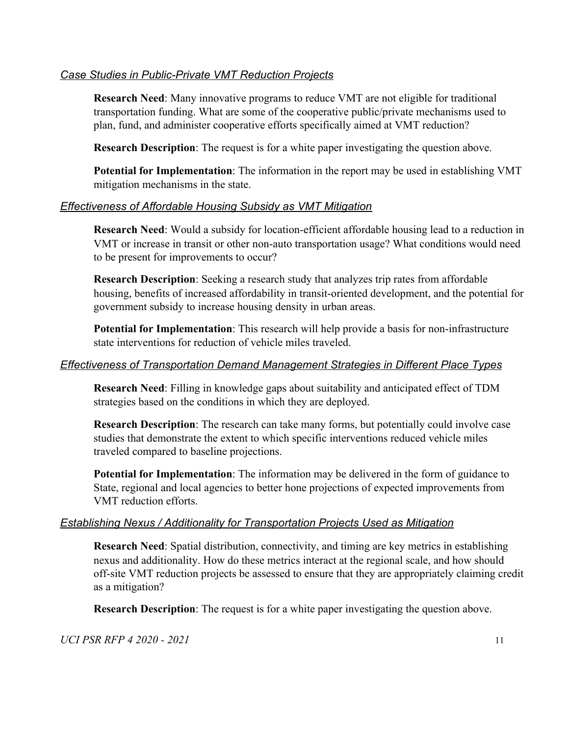#### *Case Studies in Public-Private VMT Reduction Projects*

**Research Need**: Many innovative programs to reduce VMT are not eligible for traditional transportation funding. What are some of the cooperative public/private mechanisms used to plan, fund, and administer cooperative efforts specifically aimed at VMT reduction?

**Research Description**: The request is for a white paper investigating the question above.

**Potential for Implementation**: The information in the report may be used in establishing VMT mitigation mechanisms in the state.

#### *Effectiveness of Affordable Housing Subsidy as VMT Mitigation*

**Research Need**: Would a subsidy for location-efficient affordable housing lead to a reduction in VMT or increase in transit or other non-auto transportation usage? What conditions would need to be present for improvements to occur?

**Research Description**: Seeking a research study that analyzes trip rates from affordable housing, benefits of increased affordability in transit-oriented development, and the potential for government subsidy to increase housing density in urban areas.

**Potential for Implementation**: This research will help provide a basis for non-infrastructure state interventions for reduction of vehicle miles traveled.

#### *Effectiveness of Transportation Demand Management Strategies in Different Place Types*

**Research Need**: Filling in knowledge gaps about suitability and anticipated effect of TDM strategies based on the conditions in which they are deployed.

**Research Description**: The research can take many forms, but potentially could involve case studies that demonstrate the extent to which specific interventions reduced vehicle miles traveled compared to baseline projections.

**Potential for Implementation**: The information may be delivered in the form of guidance to State, regional and local agencies to better hone projections of expected improvements from VMT reduction efforts.

#### *Establishing Nexus / Additionality for Transportation Projects Used as Mitigation*

**Research Need**: Spatial distribution, connectivity, and timing are key metrics in establishing nexus and additionality. How do these metrics interact at the regional scale, and how should off-site VMT reduction projects be assessed to ensure that they are appropriately claiming credit as a mitigation?

**Research Description**: The request is for a white paper investigating the question above.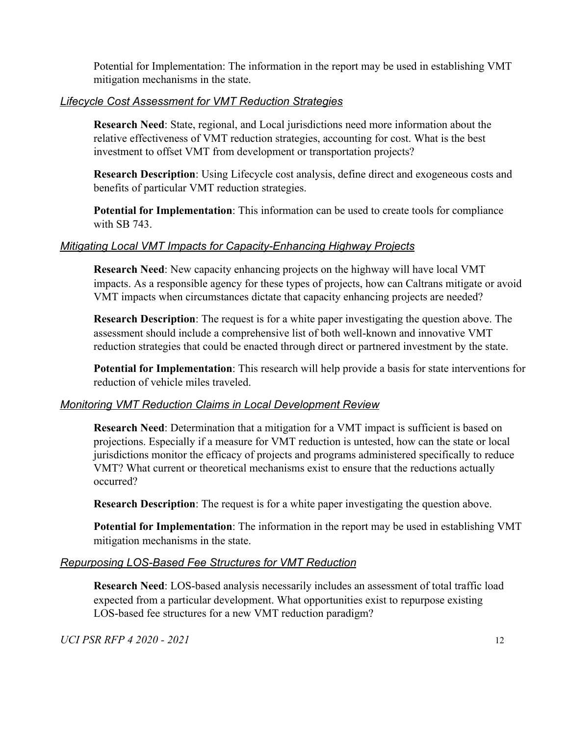Potential for Implementation: The information in the report may be used in establishing VMT mitigation mechanisms in the state.

#### *Lifecycle Cost Assessment for VMT Reduction Strategies*

**Research Need**: State, regional, and Local jurisdictions need more information about the relative effectiveness of VMT reduction strategies, accounting for cost. What is the best investment to offset VMT from development or transportation projects?

**Research Description**: Using Lifecycle cost analysis, define direct and exogeneous costs and benefits of particular VMT reduction strategies.

**Potential for Implementation**: This information can be used to create tools for compliance with SB 743.

#### *Mitigating Local VMT Impacts for Capacity-Enhancing Highway Projects*

**Research Need**: New capacity enhancing projects on the highway will have local VMT impacts. As a responsible agency for these types of projects, how can Caltrans mitigate or avoid VMT impacts when circumstances dictate that capacity enhancing projects are needed?

**Research Description**: The request is for a white paper investigating the question above. The assessment should include a comprehensive list of both well-known and innovative VMT reduction strategies that could be enacted through direct or partnered investment by the state.

**Potential for Implementation**: This research will help provide a basis for state interventions for reduction of vehicle miles traveled.

#### *Monitoring VMT Reduction Claims in Local Development Review*

**Research Need**: Determination that a mitigation for a VMT impact is sufficient is based on projections. Especially if a measure for VMT reduction is untested, how can the state or local jurisdictions monitor the efficacy of projects and programs administered specifically to reduce VMT? What current or theoretical mechanisms exist to ensure that the reductions actually occurred?

**Research Description**: The request is for a white paper investigating the question above.

**Potential for Implementation**: The information in the report may be used in establishing VMT mitigation mechanisms in the state.

#### *Repurposing LOS-Based Fee Structures for VMT Reduction*

**Research Need**: LOS-based analysis necessarily includes an assessment of total traffic load expected from a particular development. What opportunities exist to repurpose existing LOS-based fee structures for a new VMT reduction paradigm?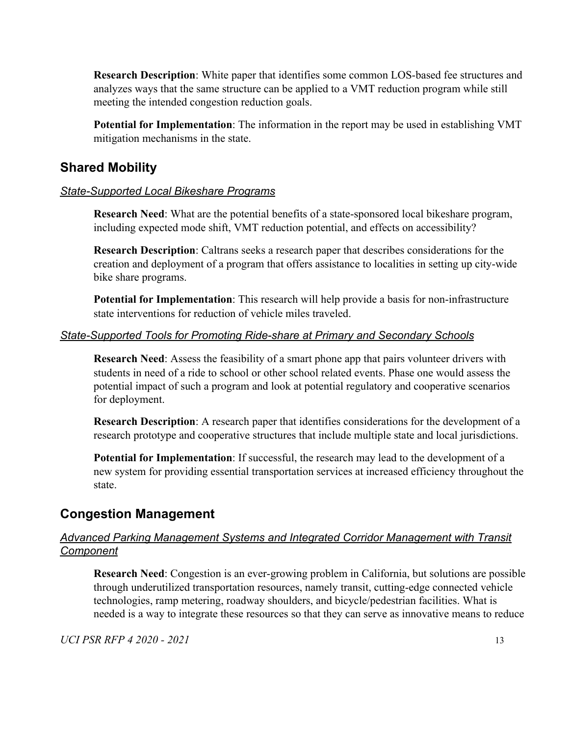**Research Description**: White paper that identifies some common LOS-based fee structures and analyzes ways that the same structure can be applied to a VMT reduction program while still meeting the intended congestion reduction goals.

**Potential for Implementation**: The information in the report may be used in establishing VMT mitigation mechanisms in the state.

### **Shared Mobility**

#### *State-Supported Local Bikeshare Programs*

**Research Need**: What are the potential benefits of a state-sponsored local bikeshare program, including expected mode shift, VMT reduction potential, and effects on accessibility?

**Research Description**: Caltrans seeks a research paper that describes considerations for the creation and deployment of a program that offers assistance to localities in setting up city-wide bike share programs.

**Potential for Implementation**: This research will help provide a basis for non-infrastructure state interventions for reduction of vehicle miles traveled.

#### *State-Supported Tools for Promoting Ride-share at Primary and Secondary Schools*

**Research Need**: Assess the feasibility of a smart phone app that pairs volunteer drivers with students in need of a ride to school or other school related events. Phase one would assess the potential impact of such a program and look at potential regulatory and cooperative scenarios for deployment.

**Research Description**: A research paper that identifies considerations for the development of a research prototype and cooperative structures that include multiple state and local jurisdictions.

**Potential for Implementation**: If successful, the research may lead to the development of a new system for providing essential transportation services at increased efficiency throughout the state.

### **Congestion Management**

#### *Advanced Parking Management Systems and Integrated Corridor Management with Transit Component*

**Research Need**: Congestion is an ever-growing problem in California, but solutions are possible through underutilized transportation resources, namely transit, cutting-edge connected vehicle technologies, ramp metering, roadway shoulders, and bicycle/pedestrian facilities. What is needed is a way to integrate these resources so that they can serve as innovative means to reduce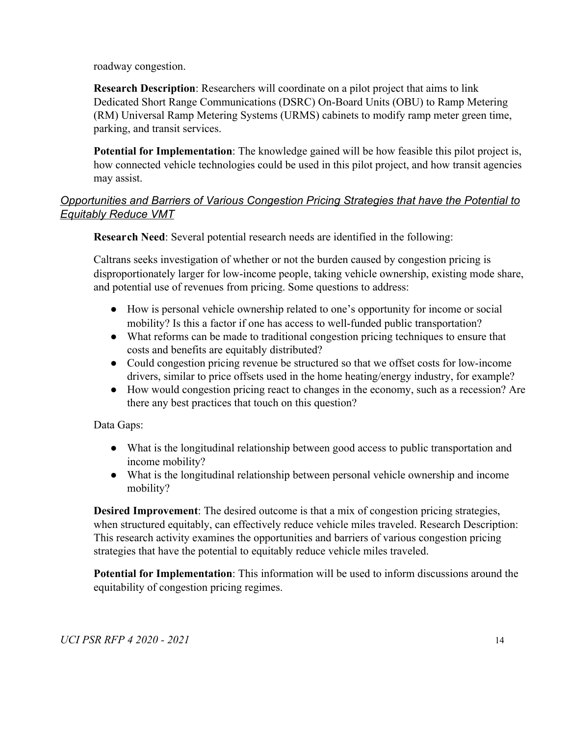roadway congestion.

**Research Description**: Researchers will coordinate on a pilot project that aims to link Dedicated Short Range Communications (DSRC) On-Board Units (OBU) to Ramp Metering (RM) Universal Ramp Metering Systems (URMS) cabinets to modify ramp meter green time, parking, and transit services.

**Potential for Implementation**: The knowledge gained will be how feasible this pilot project is, how connected vehicle technologies could be used in this pilot project, and how transit agencies may assist.

### *Opportunities and Barriers of Various Congestion Pricing Strategies that have the Potential to Equitably Reduce VMT*

**Research Need**: Several potential research needs are identified in the following:

Caltrans seeks investigation of whether or not the burden caused by congestion pricing is disproportionately larger for low-income people, taking vehicle ownership, existing mode share, and potential use of revenues from pricing. Some questions to address:

- How is personal vehicle ownership related to one's opportunity for income or social mobility? Is this a factor if one has access to well-funded public transportation?
- What reforms can be made to traditional congestion pricing techniques to ensure that costs and benefits are equitably distributed?
- Could congestion pricing revenue be structured so that we offset costs for low-income drivers, similar to price offsets used in the home heating/energy industry, for example?
- How would congestion pricing react to changes in the economy, such as a recession? Are there any best practices that touch on this question?

Data Gaps:

- What is the longitudinal relationship between good access to public transportation and income mobility?
- What is the longitudinal relationship between personal vehicle ownership and income mobility?

**Desired Improvement**: The desired outcome is that a mix of congestion pricing strategies, when structured equitably, can effectively reduce vehicle miles traveled. Research Description: This research activity examines the opportunities and barriers of various congestion pricing strategies that have the potential to equitably reduce vehicle miles traveled.

**Potential for Implementation**: This information will be used to inform discussions around the equitability of congestion pricing regimes.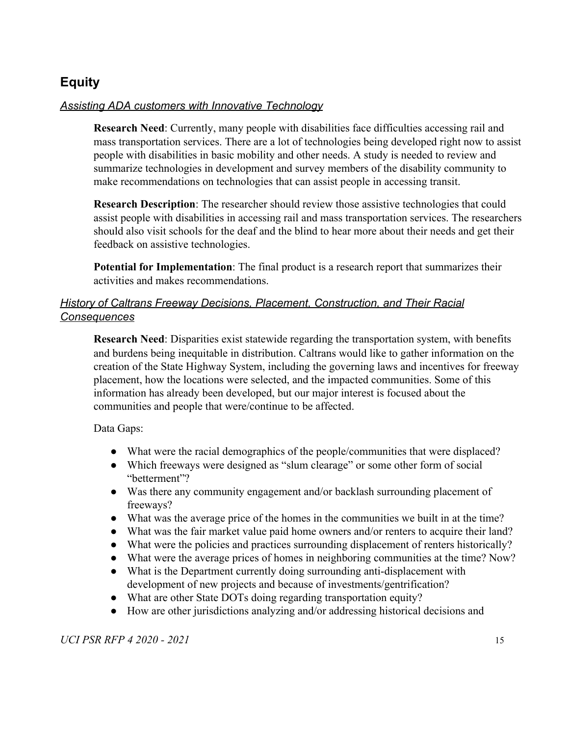## **Equity**

### *Assisting ADA customers with Innovative Technology*

**Research Need**: Currently, many people with disabilities face difficulties accessing rail and mass transportation services. There are a lot of technologies being developed right now to assist people with disabilities in basic mobility and other needs. A study is needed to review and summarize technologies in development and survey members of the disability community to make recommendations on technologies that can assist people in accessing transit.

**Research Description**: The researcher should review those assistive technologies that could assist people with disabilities in accessing rail and mass transportation services. The researchers should also visit schools for the deaf and the blind to hear more about their needs and get their feedback on assistive technologies.

**Potential for Implementation**: The final product is a research report that summarizes their activities and makes recommendations.

### *History of Caltrans Freeway Decisions, Placement, Construction, and Their Racial Consequences*

**Research Need**: Disparities exist statewide regarding the transportation system, with benefits and burdens being inequitable in distribution. Caltrans would like to gather information on the creation of the State Highway System, including the governing laws and incentives for freeway placement, how the locations were selected, and the impacted communities. Some of this information has already been developed, but our major interest is focused about the communities and people that were/continue to be affected.

#### Data Gaps:

- What were the racial demographics of the people/communities that were displaced?
- Which freeways were designed as "slum clearage" or some other form of social "betterment"?
- Was there any community engagement and/or backlash surrounding placement of freeways?
- What was the average price of the homes in the communities we built in at the time?
- What was the fair market value paid home owners and/or renters to acquire their land?
- What were the policies and practices surrounding displacement of renters historically?
- What were the average prices of homes in neighboring communities at the time? Now?
- What is the Department currently doing surrounding anti-displacement with development of new projects and because of investments/gentrification?
- What are other State DOTs doing regarding transportation equity?
- How are other jurisdictions analyzing and/or addressing historical decisions and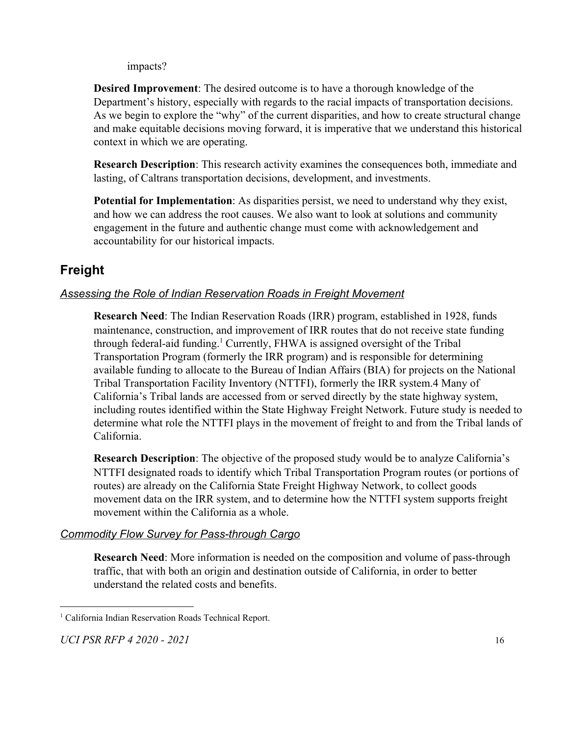impacts?

**Desired Improvement**: The desired outcome is to have a thorough knowledge of the Department's history, especially with regards to the racial impacts of transportation decisions. As we begin to explore the "why" of the current disparities, and how to create structural change and make equitable decisions moving forward, it is imperative that we understand this historical context in which we are operating.

**Research Description**: This research activity examines the consequences both, immediate and lasting, of Caltrans transportation decisions, development, and investments.

**Potential for Implementation**: As disparities persist, we need to understand why they exist, and how we can address the root causes. We also want to look at solutions and community engagement in the future and authentic change must come with acknowledgement and accountability for our historical impacts.

## **Freight**

### *Assessing the Role of Indian Reservation Roads in Freight Movement*

**Research Need**: The Indian Reservation Roads (IRR) program, established in 1928, funds maintenance, construction, and improvement of IRR routes that do not receive state funding through federal-aid funding.<sup>1</sup> Currently, FHWA is assigned oversight of the Tribal Transportation Program (formerly the IRR program) and is responsible for determining available funding to allocate to the Bureau of Indian Affairs (BIA) for projects on the National Tribal Transportation Facility Inventory (NTTFI), formerly the IRR system.4 Many of California's Tribal lands are accessed from or served directly by the state highway system, including routes identified within the State Highway Freight Network. Future study is needed to determine what role the NTTFI plays in the movement of freight to and from the Tribal lands of California.

**Research Description**: The objective of the proposed study would be to analyze California's NTTFI designated roads to identify which Tribal Transportation Program routes (or portions of routes) are already on the California State Freight Highway Network, to collect goods movement data on the IRR system, and to determine how the NTTFI system supports freight movement within the California as a whole.

#### *Commodity Flow Survey for Pass-through Cargo*

**Research Need**: More information is needed on the composition and volume of pass-through traffic, that with both an origin and destination outside of California, in order to better understand the related costs and benefits.

<sup>&</sup>lt;sup>1</sup> California Indian Reservation Roads Technical Report.

*UCI PSR RFP 4 2020 - 2021* 16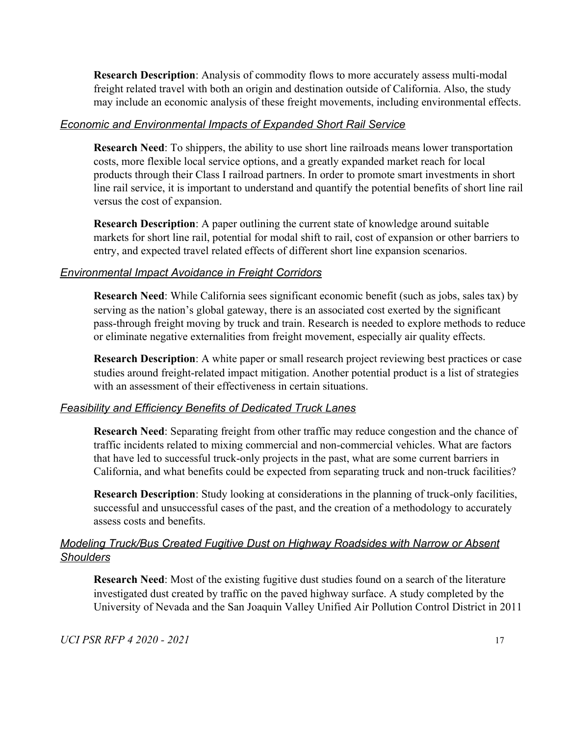**Research Description**: Analysis of commodity flows to more accurately assess multi-modal freight related travel with both an origin and destination outside of California. Also, the study may include an economic analysis of these freight movements, including environmental effects.

#### *Economic and Environmental Impacts of Expanded Short Rail Service*

**Research Need**: To shippers, the ability to use short line railroads means lower transportation costs, more flexible local service options, and a greatly expanded market reach for local products through their Class I railroad partners. In order to promote smart investments in short line rail service, it is important to understand and quantify the potential benefits of short line rail versus the cost of expansion.

**Research Description**: A paper outlining the current state of knowledge around suitable markets for short line rail, potential for modal shift to rail, cost of expansion or other barriers to entry, and expected travel related effects of different short line expansion scenarios.

#### *Environmental Impact Avoidance in Freight Corridors*

**Research Need**: While California sees significant economic benefit (such as jobs, sales tax) by serving as the nation's global gateway, there is an associated cost exerted by the significant pass-through freight moving by truck and train. Research is needed to explore methods to reduce or eliminate negative externalities from freight movement, especially air quality effects.

**Research Description**: A white paper or small research project reviewing best practices or case studies around freight-related impact mitigation. Another potential product is a list of strategies with an assessment of their effectiveness in certain situations.

#### *Feasibility and Efficiency Benefits of Dedicated Truck Lanes*

**Research Need**: Separating freight from other traffic may reduce congestion and the chance of traffic incidents related to mixing commercial and non-commercial vehicles. What are factors that have led to successful truck-only projects in the past, what are some current barriers in California, and what benefits could be expected from separating truck and non-truck facilities?

**Research Description**: Study looking at considerations in the planning of truck-only facilities, successful and unsuccessful cases of the past, and the creation of a methodology to accurately assess costs and benefits.

#### *Modeling Truck/Bus Created Fugitive Dust on Highway Roadsides with Narrow or Absent Shoulders*

**Research Need**: Most of the existing fugitive dust studies found on a search of the literature investigated dust created by traffic on the paved highway surface. A study completed by the University of Nevada and the San Joaquin Valley Unified Air Pollution Control District in 2011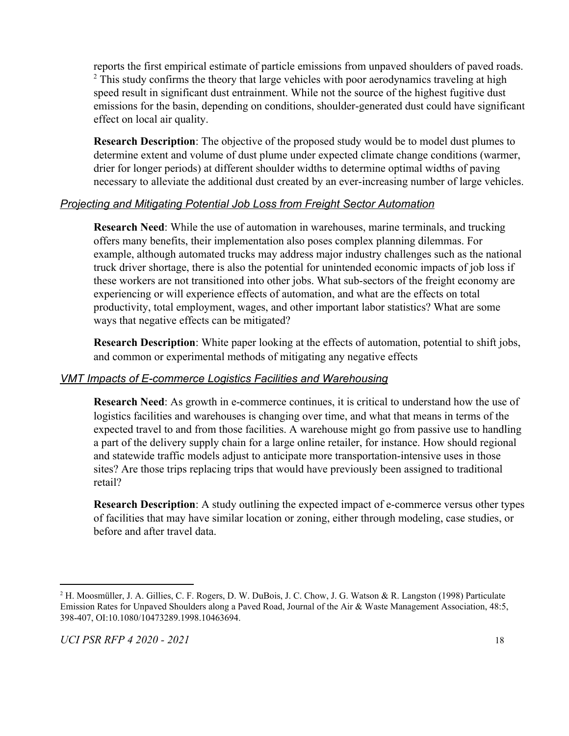reports the first empirical estimate of particle emissions from unpaved shoulders of paved roads. <sup>2</sup> This study confirms the theory that large vehicles with poor aerodynamics traveling at high speed result in significant dust entrainment. While not the source of the highest fugitive dust emissions for the basin, depending on conditions, shoulder-generated dust could have significant effect on local air quality.

**Research Description**: The objective of the proposed study would be to model dust plumes to determine extent and volume of dust plume under expected climate change conditions (warmer, drier for longer periods) at different shoulder widths to determine optimal widths of paving necessary to alleviate the additional dust created by an ever-increasing number of large vehicles.

#### *Projecting and Mitigating Potential Job Loss from Freight Sector Automation*

**Research Need**: While the use of automation in warehouses, marine terminals, and trucking offers many benefits, their implementation also poses complex planning dilemmas. For example, although automated trucks may address major industry challenges such as the national truck driver shortage, there is also the potential for unintended economic impacts of job loss if these workers are not transitioned into other jobs. What sub-sectors of the freight economy are experiencing or will experience effects of automation, and what are the effects on total productivity, total employment, wages, and other important labor statistics? What are some ways that negative effects can be mitigated?

**Research Description**: White paper looking at the effects of automation, potential to shift jobs, and common or experimental methods of mitigating any negative effects

#### *VMT Impacts of E-commerce Logistics Facilities and Warehousing*

**Research Need**: As growth in e-commerce continues, it is critical to understand how the use of logistics facilities and warehouses is changing over time, and what that means in terms of the expected travel to and from those facilities. A warehouse might go from passive use to handling a part of the delivery supply chain for a large online retailer, for instance. How should regional and statewide traffic models adjust to anticipate more transportation-intensive uses in those sites? Are those trips replacing trips that would have previously been assigned to traditional retail?

**Research Description**: A study outlining the expected impact of e-commerce versus other types of facilities that may have similar location or zoning, either through modeling, case studies, or before and after travel data.

<sup>2</sup> H. Moosmüller, J. A. Gillies, C. F. Rogers, D. W. DuBois, J. C. Chow, J. G. Watson & R. Langston (1998) Particulate Emission Rates for Unpaved Shoulders along a Paved Road, Journal of the Air & Waste Management Association, 48:5, 398-407, OI:10.1080/10473289.1998.10463694.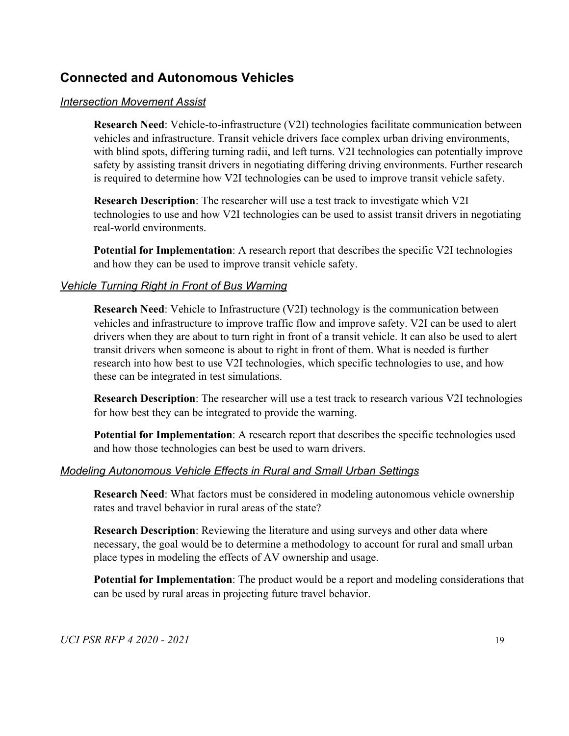### **Connected and Autonomous Vehicles**

#### *Intersection Movement Assist*

**Research Need**: Vehicle-to-infrastructure (V2I) technologies facilitate communication between vehicles and infrastructure. Transit vehicle drivers face complex urban driving environments, with blind spots, differing turning radii, and left turns. V2I technologies can potentially improve safety by assisting transit drivers in negotiating differing driving environments. Further research is required to determine how V2I technologies can be used to improve transit vehicle safety.

**Research Description**: The researcher will use a test track to investigate which V2I technologies to use and how V2I technologies can be used to assist transit drivers in negotiating real-world environments.

**Potential for Implementation**: A research report that describes the specific V2I technologies and how they can be used to improve transit vehicle safety.

#### *Vehicle Turning Right in Front of Bus Warning*

**Research Need**: Vehicle to Infrastructure (V2I) technology is the communication between vehicles and infrastructure to improve traffic flow and improve safety. V2I can be used to alert drivers when they are about to turn right in front of a transit vehicle. It can also be used to alert transit drivers when someone is about to right in front of them. What is needed is further research into how best to use V2I technologies, which specific technologies to use, and how these can be integrated in test simulations.

**Research Description**: The researcher will use a test track to research various V2I technologies for how best they can be integrated to provide the warning.

**Potential for Implementation**: A research report that describes the specific technologies used and how those technologies can best be used to warn drivers.

#### *Modeling Autonomous Vehicle Effects in Rural and Small Urban Settings*

**Research Need**: What factors must be considered in modeling autonomous vehicle ownership rates and travel behavior in rural areas of the state?

**Research Description**: Reviewing the literature and using surveys and other data where necessary, the goal would be to determine a methodology to account for rural and small urban place types in modeling the effects of AV ownership and usage.

**Potential for Implementation**: The product would be a report and modeling considerations that can be used by rural areas in projecting future travel behavior.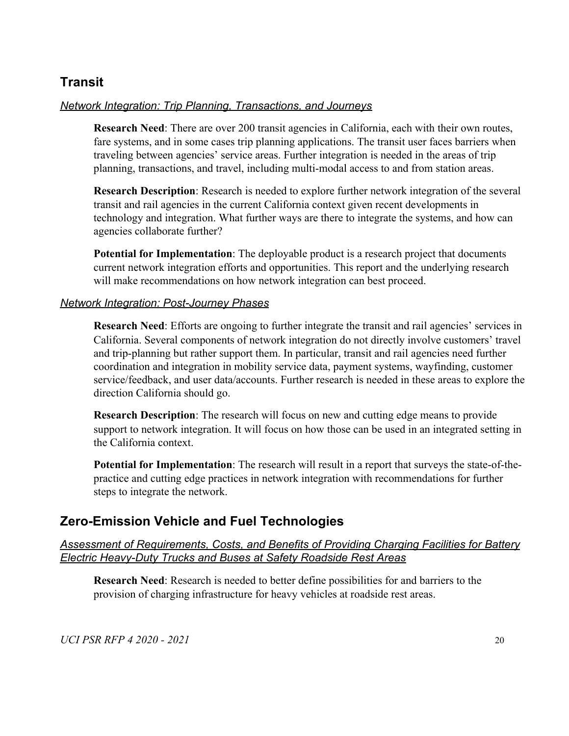### **Transit**

#### *Network Integration: Trip Planning, Transactions, and Journeys*

**Research Need**: There are over 200 transit agencies in California, each with their own routes, fare systems, and in some cases trip planning applications. The transit user faces barriers when traveling between agencies' service areas. Further integration is needed in the areas of trip planning, transactions, and travel, including multi-modal access to and from station areas.

**Research Description**: Research is needed to explore further network integration of the several transit and rail agencies in the current California context given recent developments in technology and integration. What further ways are there to integrate the systems, and how can agencies collaborate further?

**Potential for Implementation**: The deployable product is a research project that documents current network integration efforts and opportunities. This report and the underlying research will make recommendations on how network integration can best proceed.

#### *Network Integration: Post-Journey Phases*

**Research Need**: Efforts are ongoing to further integrate the transit and rail agencies' services in California. Several components of network integration do not directly involve customers' travel and trip-planning but rather support them. In particular, transit and rail agencies need further coordination and integration in mobility service data, payment systems, wayfinding, customer service/feedback, and user data/accounts. Further research is needed in these areas to explore the direction California should go.

**Research Description**: The research will focus on new and cutting edge means to provide support to network integration. It will focus on how those can be used in an integrated setting in the California context.

**Potential for Implementation**: The research will result in a report that surveys the state-of-thepractice and cutting edge practices in network integration with recommendations for further steps to integrate the network.

### **Zero-Emission Vehicle and Fuel Technologies**

#### *Assessment of Requirements, Costs, and Benefits of Providing Charging Facilities for Battery Electric Heavy-Duty Trucks and Buses at Safety Roadside Rest Areas*

**Research Need**: Research is needed to better define possibilities for and barriers to the provision of charging infrastructure for heavy vehicles at roadside rest areas.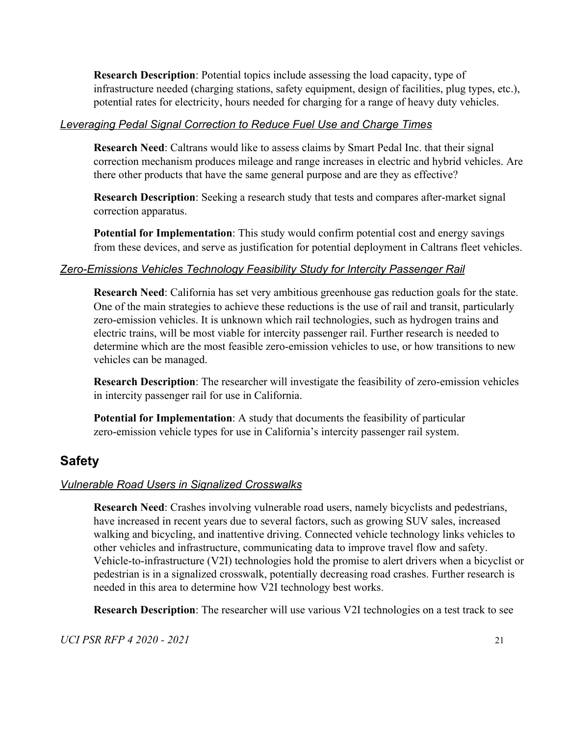**Research Description**: Potential topics include assessing the load capacity, type of infrastructure needed (charging stations, safety equipment, design of facilities, plug types, etc.), potential rates for electricity, hours needed for charging for a range of heavy duty vehicles.

#### *Leveraging Pedal Signal Correction to Reduce Fuel Use and Charge Times*

**Research Need**: Caltrans would like to assess claims by Smart Pedal Inc. that their signal correction mechanism produces mileage and range increases in electric and hybrid vehicles. Are there other products that have the same general purpose and are they as effective?

**Research Description**: Seeking a research study that tests and compares after-market signal correction apparatus.

**Potential for Implementation**: This study would confirm potential cost and energy savings from these devices, and serve as justification for potential deployment in Caltrans fleet vehicles.

#### *Zero-Emissions Vehicles Technology Feasibility Study for Intercity Passenger Rail*

**Research Need**: California has set very ambitious greenhouse gas reduction goals for the state. One of the main strategies to achieve these reductions is the use of rail and transit, particularly zero-emission vehicles. It is unknown which rail technologies, such as hydrogen trains and electric trains, will be most viable for intercity passenger rail. Further research is needed to determine which are the most feasible zero-emission vehicles to use, or how transitions to new vehicles can be managed.

**Research Description**: The researcher will investigate the feasibility of zero-emission vehicles in intercity passenger rail for use in California.

**Potential for Implementation**: A study that documents the feasibility of particular zero-emission vehicle types for use in California's intercity passenger rail system.

### **Safety**

#### *Vulnerable Road Users in Signalized Crosswalks*

**Research Need**: Crashes involving vulnerable road users, namely bicyclists and pedestrians, have increased in recent years due to several factors, such as growing SUV sales, increased walking and bicycling, and inattentive driving. Connected vehicle technology links vehicles to other vehicles and infrastructure, communicating data to improve travel flow and safety. Vehicle-to-infrastructure (V2I) technologies hold the promise to alert drivers when a bicyclist or pedestrian is in a signalized crosswalk, potentially decreasing road crashes. Further research is needed in this area to determine how V2I technology best works.

**Research Description**: The researcher will use various V2I technologies on a test track to see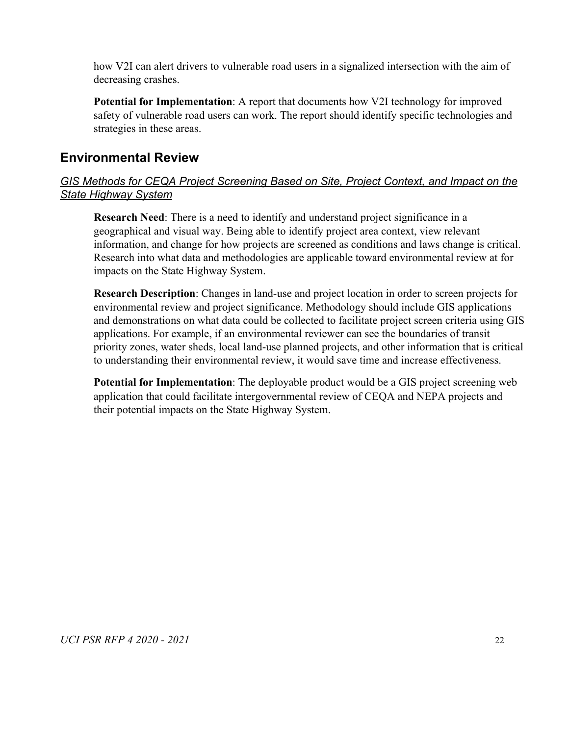how V2I can alert drivers to vulnerable road users in a signalized intersection with the aim of decreasing crashes.

**Potential for Implementation**: A report that documents how V2I technology for improved safety of vulnerable road users can work. The report should identify specific technologies and strategies in these areas.

### **Environmental Review**

### *GIS Methods for CEQA Project Screening Based on Site, Project Context, and Impact on the State Highway System*

**Research Need**: There is a need to identify and understand project significance in a geographical and visual way. Being able to identify project area context, view relevant information, and change for how projects are screened as conditions and laws change is critical. Research into what data and methodologies are applicable toward environmental review at for impacts on the State Highway System.

**Research Description**: Changes in land-use and project location in order to screen projects for environmental review and project significance. Methodology should include GIS applications and demonstrations on what data could be collected to facilitate project screen criteria using GIS applications. For example, if an environmental reviewer can see the boundaries of transit priority zones, water sheds, local land-use planned projects, and other information that is critical to understanding their environmental review, it would save time and increase effectiveness.

**Potential for Implementation**: The deployable product would be a GIS project screening web application that could facilitate intergovernmental review of CEQA and NEPA projects and their potential impacts on the State Highway System.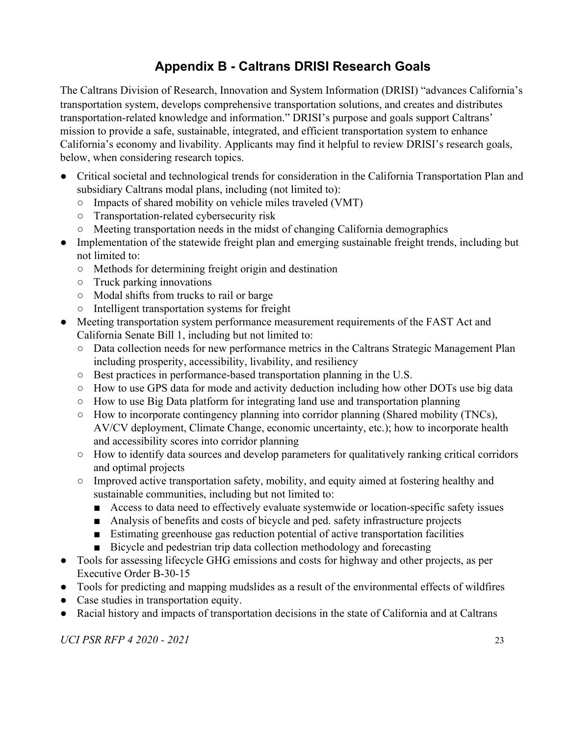## **Appendix B - Caltrans DRISI Research Goals**

<span id="page-23-0"></span>The Caltrans Division of Research, Innovation and System Information (DRISI) "advances California's transportation system, develops comprehensive transportation solutions, and creates and distributes transportation-related knowledge and information." DRISI's purpose and goals support Caltrans' mission to provide a safe, sustainable, integrated, and efficient transportation system to enhance California's economy and livability. Applicants may find it helpful to review DRISI's research goals, below, when considering research topics.

- Critical societal and technological trends for consideration in the California Transportation Plan and subsidiary Caltrans modal plans, including (not limited to):
	- Impacts of shared mobility on vehicle miles traveled (VMT)
	- Transportation-related cybersecurity risk
	- Meeting transportation needs in the midst of changing California demographics
- Implementation of the statewide freight plan and emerging sustainable freight trends, including but not limited to:
	- Methods for determining freight origin and destination
	- Truck parking innovations
	- Modal shifts from trucks to rail or barge
	- Intelligent transportation systems for freight
- Meeting transportation system performance measurement requirements of the FAST Act and California Senate Bill 1, including but not limited to:
	- Data collection needs for new performance metrics in the Caltrans Strategic Management Plan including prosperity, accessibility, livability, and resiliency
	- Best practices in performance-based transportation planning in the U.S.
	- How to use GPS data for mode and activity deduction including how other DOTs use big data
	- How to use Big Data platform for integrating land use and transportation planning
	- How to incorporate contingency planning into corridor planning (Shared mobility (TNCs), AV/CV deployment, Climate Change, economic uncertainty, etc.); how to incorporate health and accessibility scores into corridor planning
	- How to identify data sources and develop parameters for qualitatively ranking critical corridors and optimal projects
	- Improved active transportation safety, mobility, and equity aimed at fostering healthy and sustainable communities, including but not limited to:
		- Access to data need to effectively evaluate systemwide or location-specific safety issues
		- Analysis of benefits and costs of bicycle and ped. safety infrastructure projects
		- Estimating greenhouse gas reduction potential of active transportation facilities
		- Bicycle and pedestrian trip data collection methodology and forecasting
- Tools for assessing lifecycle GHG emissions and costs for highway and other projects, as per Executive Order B-30-15
- Tools for predicting and mapping mudslides as a result of the environmental effects of wildfires
- Case studies in transportation equity.
- Racial history and impacts of transportation decisions in the state of California and at Caltrans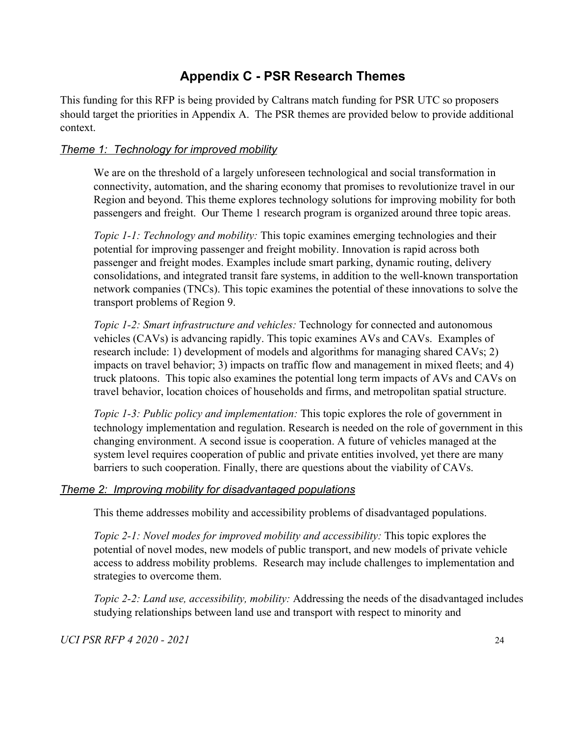## **Appendix C - PSR Research Themes**

<span id="page-24-0"></span>This funding for this RFP is being provided by Caltrans match funding for PSR UTC so proposers should target the priorities in Appendix A. The PSR themes are provided below to provide additional context.

### *Theme 1: Technology for improved mobility*

We are on the threshold of a largely unforeseen technological and social transformation in connectivity, automation, and the sharing economy that promises to revolutionize travel in our Region and beyond. This theme explores technology solutions for improving mobility for both passengers and freight. Our Theme 1 research program is organized around three topic areas.

*Topic 1-1: Technology and mobility:* This topic examines emerging technologies and their potential for improving passenger and freight mobility. Innovation is rapid across both passenger and freight modes. Examples include smart parking, dynamic routing, delivery consolidations, and integrated transit fare systems, in addition to the well-known transportation network companies (TNCs). This topic examines the potential of these innovations to solve the transport problems of Region 9.

*Topic 1-2: Smart infrastructure and vehicles:* Technology for connected and autonomous vehicles (CAVs) is advancing rapidly. This topic examines AVs and CAVs. Examples of research include: 1) development of models and algorithms for managing shared CAVs; 2) impacts on travel behavior; 3) impacts on traffic flow and management in mixed fleets; and 4) truck platoons. This topic also examines the potential long term impacts of AVs and CAVs on travel behavior, location choices of households and firms, and metropolitan spatial structure.

*Topic 1-3: Public policy and implementation:* This topic explores the role of government in technology implementation and regulation. Research is needed on the role of government in this changing environment. A second issue is cooperation. A future of vehicles managed at the system level requires cooperation of public and private entities involved, yet there are many barriers to such cooperation. Finally, there are questions about the viability of CAVs.

#### *Theme 2: Improving mobility for disadvantaged populations*

This theme addresses mobility and accessibility problems of disadvantaged populations.

*Topic 2-1: Novel modes for improved mobility and accessibility: This topic explores the* potential of novel modes, new models of public transport, and new models of private vehicle access to address mobility problems. Research may include challenges to implementation and strategies to overcome them.

*Topic 2-2: Land use, accessibility, mobility:* Addressing the needs of the disadvantaged includes studying relationships between land use and transport with respect to minority and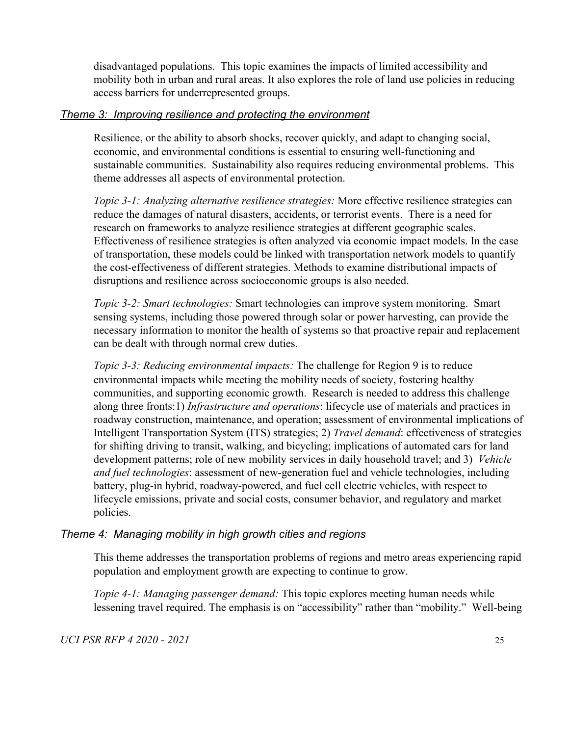disadvantaged populations. This topic examines the impacts of limited accessibility and mobility both in urban and rural areas. It also explores the role of land use policies in reducing access barriers for underrepresented groups.

#### *Theme 3: Improving resilience and protecting the environment*

Resilience, or the ability to absorb shocks, recover quickly, and adapt to changing social, economic, and environmental conditions is essential to ensuring well-functioning and sustainable communities. Sustainability also requires reducing environmental problems. This theme addresses all aspects of environmental protection.

*Topic 3-1: Analyzing alternative resilience strategies:* More effective resilience strategies can reduce the damages of natural disasters, accidents, or terrorist events. There is a need for research on frameworks to analyze resilience strategies at different geographic scales. Effectiveness of resilience strategies is often analyzed via economic impact models. In the case of transportation, these models could be linked with transportation network models to quantify the cost-effectiveness of different strategies. Methods to examine distributional impacts of disruptions and resilience across socioeconomic groups is also needed.

*Topic 3-2: Smart technologies:* Smart technologies can improve system monitoring. Smart sensing systems, including those powered through solar or power harvesting, can provide the necessary information to monitor the health of systems so that proactive repair and replacement can be dealt with through normal crew duties.

*Topic 3-3: Reducing environmental impacts:* The challenge for Region 9 is to reduce environmental impacts while meeting the mobility needs of society, fostering healthy communities, and supporting economic growth. Research is needed to address this challenge along three fronts:1) *Infrastructure and operations*: lifecycle use of materials and practices in roadway construction, maintenance, and operation; assessment of environmental implications of Intelligent Transportation System (ITS) strategies; 2) *Travel demand*: effectiveness of strategies for shifting driving to transit, walking, and bicycling; implications of automated cars for land development patterns; role of new mobility services in daily household travel; and 3) *Vehicle and fuel technologies*: assessment of new-generation fuel and vehicle technologies, including battery, plug-in hybrid, roadway-powered, and fuel cell electric vehicles, with respect to lifecycle emissions, private and social costs, consumer behavior, and regulatory and market policies.

### *Theme 4: Managing mobility in high growth cities and regions*

This theme addresses the transportation problems of regions and metro areas experiencing rapid population and employment growth are expecting to continue to grow.

*Topic 4-1: Managing passenger demand:* This topic explores meeting human needs while lessening travel required. The emphasis is on "accessibility" rather than "mobility." Well-being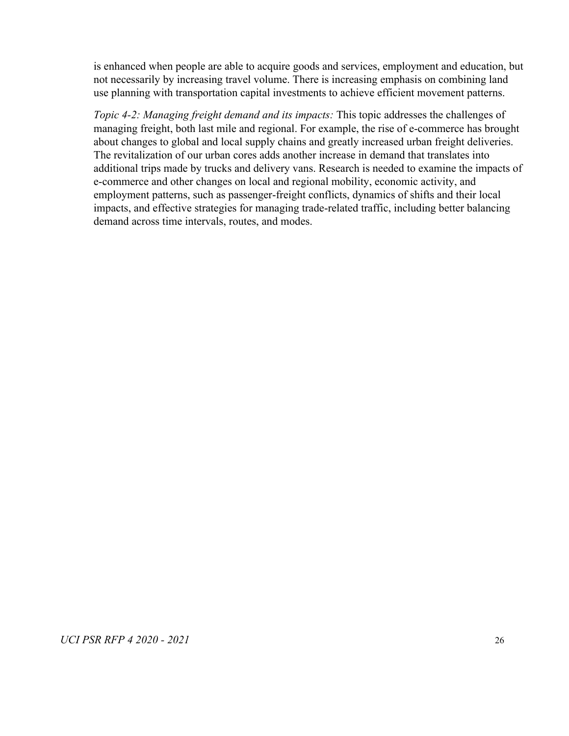is enhanced when people are able to acquire goods and services, employment and education, but not necessarily by increasing travel volume. There is increasing emphasis on combining land use planning with transportation capital investments to achieve efficient movement patterns.

*Topic 4-2: Managing freight demand and its impacts:* This topic addresses the challenges of managing freight, both last mile and regional. For example, the rise of e-commerce has brought about changes to global and local supply chains and greatly increased urban freight deliveries. The revitalization of our urban cores adds another increase in demand that translates into additional trips made by trucks and delivery vans. Research is needed to examine the impacts of e-commerce and other changes on local and regional mobility, economic activity, and employment patterns, such as passenger-freight conflicts, dynamics of shifts and their local impacts, and effective strategies for managing trade-related traffic, including better balancing demand across time intervals, routes, and modes.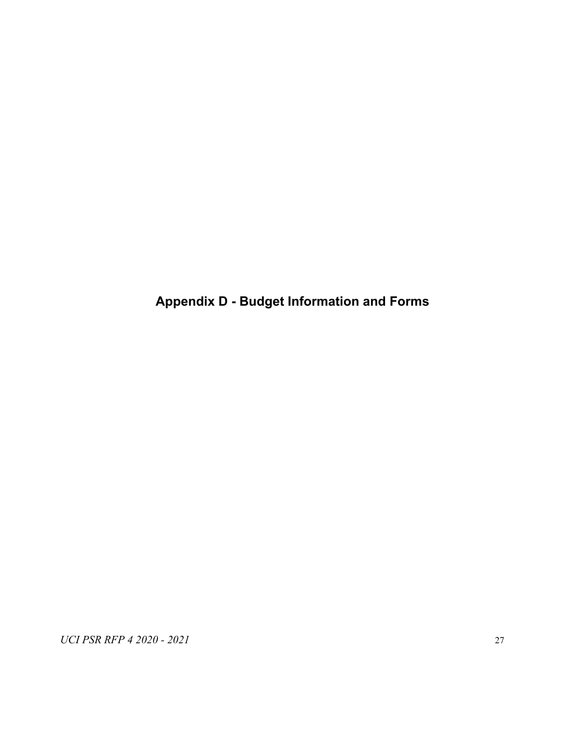<span id="page-27-0"></span>**Appendix D - Budget Information and Forms**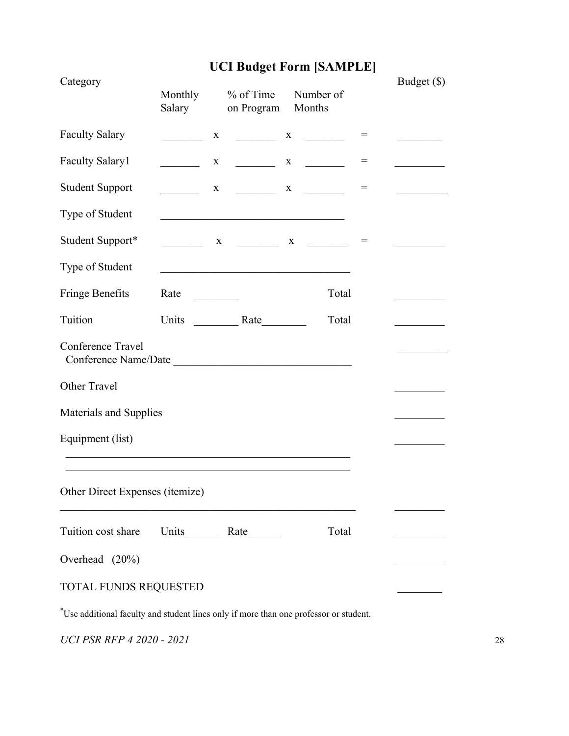# **UCI Budget Form [SAMPLE]**

| Category                                  | Monthly<br>Salary            | $%$ of Time<br>on Program                                                                                             | Number of<br>Months                                        |     | Budget (\$) |
|-------------------------------------------|------------------------------|-----------------------------------------------------------------------------------------------------------------------|------------------------------------------------------------|-----|-------------|
| <b>Faculty Salary</b>                     | $\mathbf X$                  |                                                                                                                       |                                                            | $=$ |             |
| <b>Faculty Salary1</b>                    | $\mathbf{X}$                 | $\mathcal{L}(\mathcal{L})$ . The set of $\mathcal{L}(\mathcal{L})$                                                    | $X \qquad \qquad$                                          | $=$ |             |
| <b>Student Support</b>                    |                              | $X \qquad \qquad$                                                                                                     | $\mathbf{X}$ and $\mathbf{X}$                              | $=$ |             |
| Type of Student                           |                              | <u> 1989 - Johann Barn, mars ann an t-Amhain an t-Amhain an t-Amhain an t-Amhain an t-Amhain an t-Amhain an t-Amh</u> |                                                            |     |             |
| Student Support*                          |                              |                                                                                                                       | $\begin{array}{ccccccccccccc} & & & & & & & & \end{array}$ | $=$ |             |
| Type of Student                           |                              |                                                                                                                       |                                                            |     |             |
| Fringe Benefits                           | Rate<br><u>and the state</u> |                                                                                                                       | Total                                                      |     |             |
| Tuition                                   |                              |                                                                                                                       | Total                                                      |     |             |
| Conference Travel<br>Conference Name/Date |                              |                                                                                                                       |                                                            |     |             |
| Other Travel                              |                              |                                                                                                                       |                                                            |     |             |
| Materials and Supplies                    |                              |                                                                                                                       |                                                            |     |             |
| Equipment (list)                          |                              |                                                                                                                       |                                                            |     |             |
|                                           |                              |                                                                                                                       |                                                            |     |             |
| Other Direct Expenses (itemize)           |                              |                                                                                                                       |                                                            |     |             |
| Tuition cost share                        |                              |                                                                                                                       | Total                                                      |     |             |
| Overhead (20%)                            |                              |                                                                                                                       |                                                            |     |             |
| TOTAL FUNDS REQUESTED                     |                              |                                                                                                                       |                                                            |     |             |

\*Use additional faculty and student lines only if more than one professor or student.